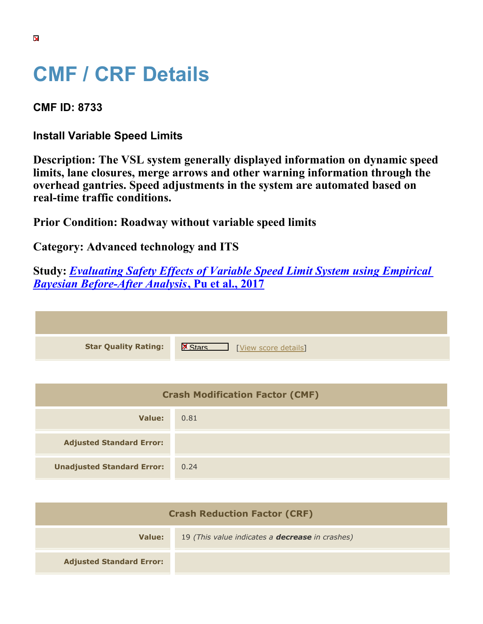## **CMF / CRF Details**

**CMF ID: 8733**

**Install Variable Speed Limits**

**Description: The VSL system generally displayed information on dynamic speed limits, lane closures, merge arrows and other warning information through the overhead gantries. Speed adjustments in the system are automated based on real-time traffic conditions.**

**Prior Condition: Roadway without variable speed limits**

**Category: Advanced technology and ITS**

**Study:** *[Evaluating Safety Effects of Variable Speed Limit System using Empirical](https://cmfclearinghouse.org/study_detail.cfm?stid=485) [Bayesian Before-After Analysis](https://cmfclearinghouse.org/study_detail.cfm?stid=485)***[, Pu et al., 2017](https://cmfclearinghouse.org/study_detail.cfm?stid=485)**

| <b>Star Quality Rating:</b> | $\mathbf{K}$<br>[View score details] |
|-----------------------------|--------------------------------------|

| <b>Crash Modification Factor (CMF)</b> |      |
|----------------------------------------|------|
| Value:                                 | 0.81 |
| <b>Adjusted Standard Error:</b>        |      |
| <b>Unadjusted Standard Error:</b>      | 0.24 |

| <b>Crash Reduction Factor (CRF)</b> |                                                        |
|-------------------------------------|--------------------------------------------------------|
| Value:                              | 19 (This value indicates a <b>decrease</b> in crashes) |
| <b>Adjusted Standard Error:</b>     |                                                        |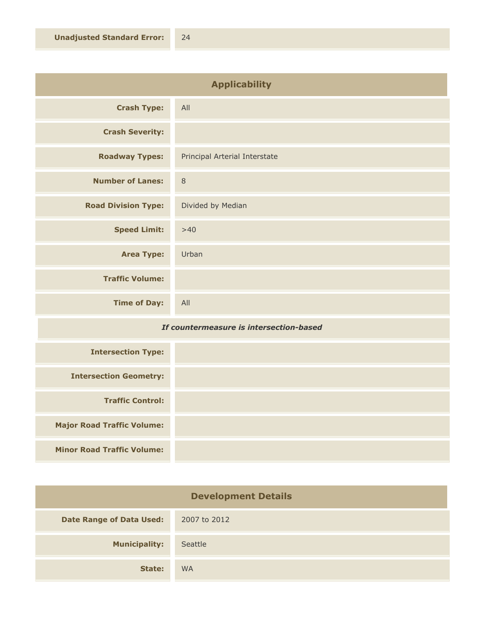| <b>Applicability</b>       |                               |
|----------------------------|-------------------------------|
| <b>Crash Type:</b>         | All                           |
| <b>Crash Severity:</b>     |                               |
| <b>Roadway Types:</b>      | Principal Arterial Interstate |
| <b>Number of Lanes:</b>    | $\,8\,$                       |
| <b>Road Division Type:</b> | Divided by Median             |
| <b>Speed Limit:</b>        | $>40$                         |
| <b>Area Type:</b>          | Urban                         |
| <b>Traffic Volume:</b>     |                               |
| <b>Time of Day:</b>        | All                           |

## *If countermeasure is intersection-based*

| <b>Intersection Type:</b>         |  |
|-----------------------------------|--|
| <b>Intersection Geometry:</b>     |  |
| <b>Traffic Control:</b>           |  |
| <b>Major Road Traffic Volume:</b> |  |
| <b>Minor Road Traffic Volume:</b> |  |

| <b>Development Details</b>      |              |
|---------------------------------|--------------|
| <b>Date Range of Data Used:</b> | 2007 to 2012 |
| <b>Municipality:</b>            | Seattle      |
| State:                          | <b>WA</b>    |